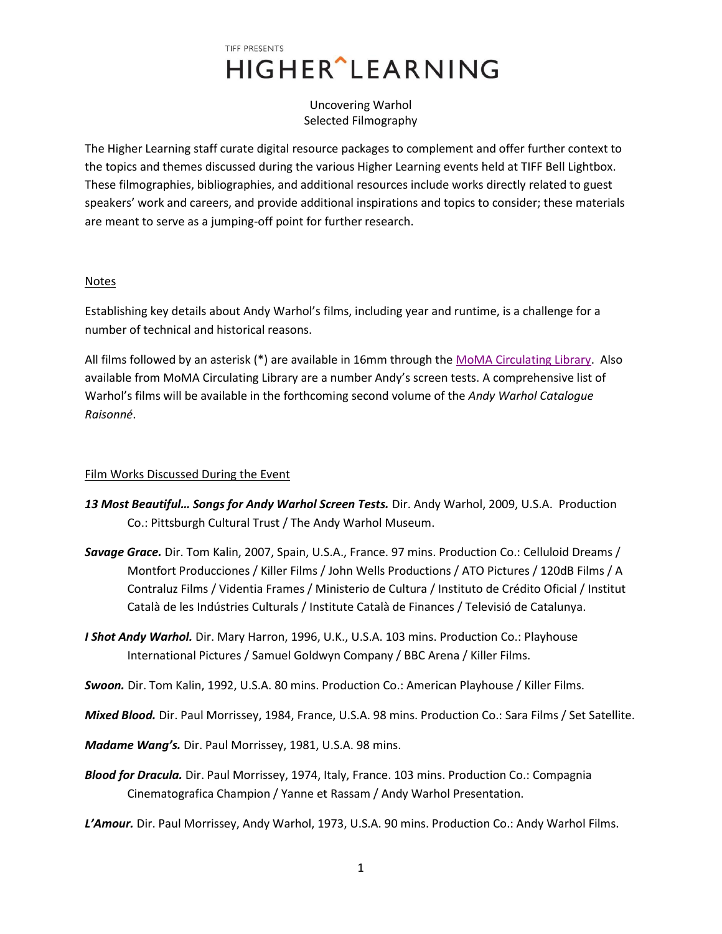# TIFF PRESENTS HIGHER^LEARNING

Uncovering Warhol Selected Filmography

The Higher Learning staff curate digital resource packages to complement and offer further context to the topics and themes discussed during the various Higher Learning events held at TIFF Bell Lightbox. These filmographies, bibliographies, and additional resources include works directly related to guest speakers' work and careers, and provide additional inspirations and topics to consider; these materials are meant to serve as a jumping-off point for further research.

#### **Notes**

Establishing key details about Andy Warhol's films, including year and runtime, is a challenge for a number of technical and historical reasons.

All films followed by an asterisk (\*) are available in 16mm through th[e MoMA Circulating Library.](http://www.moma.org/momaorg/shared/pdfs/docs/learn/Andy_Warhol_Complete_Price_List-US.pdf) Also available from MoMA Circulating Library are a number Andy's screen tests. A comprehensive list of Warhol's films will be available in the forthcoming second volume of the *Andy Warhol Catalogue Raisonné*.

### Film Works Discussed During the Event

- *13 Most Beautiful… Songs for Andy Warhol Screen Tests.* Dir. Andy Warhol, 2009, U.S.A. Production Co.: Pittsburgh Cultural Trust / The Andy Warhol Museum.
- *Savage Grace.* Dir. Tom Kalin, 2007, Spain, U.S.A., France. 97 mins. Production Co.: Celluloid Dreams / Montfort Producciones / Killer Films / John Wells Productions / ATO Pictures / 120dB Films / A Contraluz Films / Videntia Frames / Ministerio de Cultura / Instituto de Crédito Oficial / Institut Català de les Indústries Culturals / Institute Català de Finances / Televisió de Catalunya.
- *I Shot Andy Warhol.* Dir. Mary Harron, 1996, U.K., U.S.A. 103 mins. Production Co.: Playhouse International Pictures / Samuel Goldwyn Company / BBC Arena / Killer Films.

*Swoon.* Dir. Tom Kalin, 1992, U.S.A. 80 mins. Production Co.: American Playhouse / Killer Films.

*Mixed Blood.* Dir. Paul Morrissey, 1984, France, U.S.A. 98 mins. Production Co.: Sara Films / Set Satellite.

*Madame Wang's.* Dir. Paul Morrissey, 1981, U.S.A. 98 mins.

*Blood for Dracula.* Dir. Paul Morrissey, 1974, Italy, France. 103 mins. Production Co.: Compagnia Cinematografica Champion / Yanne et Rassam / Andy Warhol Presentation.

*L'Amour.* Dir. Paul Morrissey, Andy Warhol, 1973, U.S.A. 90 mins. Production Co.: Andy Warhol Films.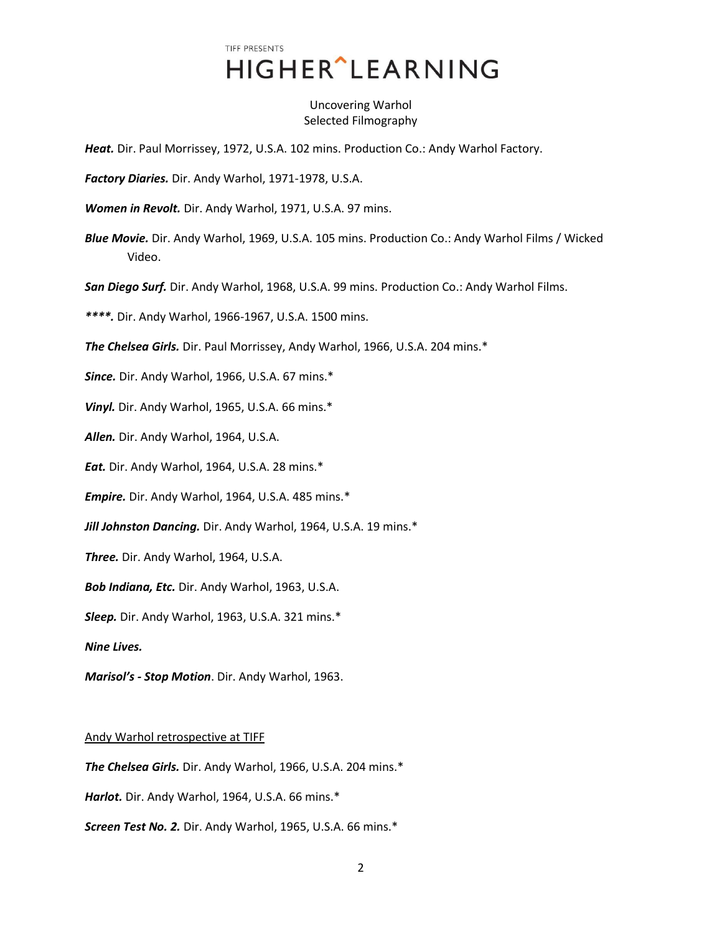## TIFF PRESENTS **HIGHER** LEARNING

Uncovering Warhol Selected Filmography

*Heat.* Dir. Paul Morrissey, 1972, U.S.A. 102 mins. Production Co.: Andy Warhol Factory.

*Factory Diaries.* Dir. Andy Warhol, 1971-1978, U.S.A.

*Women in Revolt.* Dir. Andy Warhol, 1971, U.S.A. 97 mins.

*Blue Movie.* Dir. Andy Warhol, 1969, U.S.A. 105 mins. Production Co.: Andy Warhol Films / Wicked Video.

*San Diego Surf.* Dir. Andy Warhol, 1968, U.S.A. 99 mins. Production Co.: Andy Warhol Films.

*\*\*\*\*.* Dir. Andy Warhol, 1966-1967, U.S.A. 1500 mins.

*The Chelsea Girls.* Dir. Paul Morrissey, Andy Warhol, 1966, U.S.A. 204 mins.\*

*Since.* Dir. Andy Warhol, 1966, U.S.A. 67 mins.\*

*Vinyl.* Dir. Andy Warhol, 1965, U.S.A. 66 mins.\*

*Allen.* Dir. Andy Warhol, 1964, U.S.A.

*Eat.* Dir. Andy Warhol, 1964, U.S.A. 28 mins.\*

*Empire.* Dir. Andy Warhol, 1964, U.S.A. 485 mins.\*

*Jill Johnston Dancing.* Dir. Andy Warhol, 1964, U.S.A. 19 mins.\*

*Three.* Dir. Andy Warhol, 1964, U.S.A.

*Bob Indiana, Etc.* Dir. Andy Warhol, 1963, U.S.A.

*Sleep.* Dir. Andy Warhol, 1963, U.S.A. 321 mins.\*

*Nine Lives.*

*Marisol's - Stop Motion*. Dir. Andy Warhol, 1963.

#### Andy Warhol retrospective at TIFF

*The Chelsea Girls.* Dir. Andy Warhol, 1966, U.S.A. 204 mins.\*

*Harlot.* Dir. Andy Warhol, 1964, U.S.A. 66 mins.\*

*Screen Test No. 2.* Dir. Andy Warhol, 1965, U.S.A. 66 mins.\*